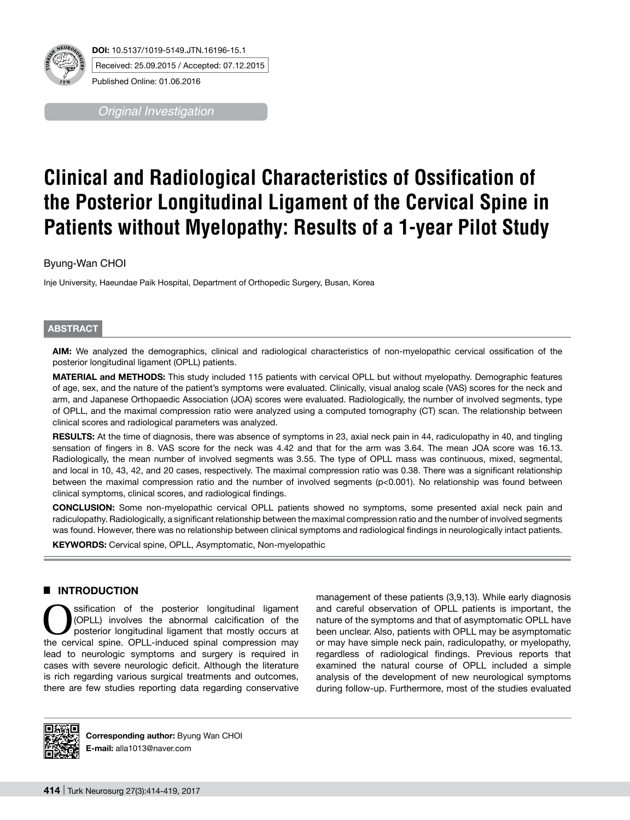

*Original Investigation*

# **Clinical and Radiological Characteristics of Ossification of the Posterior Longitudinal Ligament of the Cervical Spine in Patients without Myelopathy: Results of a 1-year Pilot Study**

# Byung-Wan CHOI

Inje University, Haeundae Paik Hospital, Department of Orthopedic Surgery, Busan, Korea

## **ABSTRACT**

**AIm:** We analyzed the demographics, clinical and radiological characteristics of non-myelopathic cervical ossification of the posterior longitudinal ligament (OPLL) patients.

**MaterIal and Methods:** This study included 115 patients with cervical OPLL but without myelopathy. Demographic features of age, sex, and the nature of the patient's symptoms were evaluated. Clinically, visual analog scale (VAS) scores for the neck and arm, and Japanese Orthopaedic Association (JOA) scores were evaluated. Radiologically, the number of involved segments, type of OPLL, and the maximal compression ratio were analyzed using a computed tomography (CT) scan. The relationship between clinical scores and radiological parameters was analyzed.

RESULTS: At the time of diagnosis, there was absence of symptoms in 23, axial neck pain in 44, radiculopathy in 40, and tingling sensation of fingers in 8. VAS score for the neck was 4.42 and that for the arm was 3.64. The mean JOA score was 16.13. Radiologically, the mean number of involved segments was 3.55. The type of OPLL mass was continuous, mixed, segmental, and local in 10, 43, 42, and 20 cases, respectively. The maximal compression ratio was 0.38. There was a significant relationship between the maximal compression ratio and the number of involved segments (p<0.001). No relationship was found between clinical symptoms, clinical scores, and radiological findings.

**ConclusIon:** Some non-myelopathic cervical OPLL patients showed no symptoms, some presented axial neck pain and radiculopathy. Radiologically, a significant relationship between the maximal compression ratio and the number of involved segments was found. However, there was no relationship between clinical symptoms and radiological findings in neurologically intact patients.

**KEYWORDS:** Cervical spine, OPLL, Asymptomatic, Non-myelopathic

# █ **INTRODUCTION**

Sisterior of the posterior longitudinal ligament<br>
(OPLL) involves the abnormal calcification of the<br>
posterior longitudinal ligament that mostly occurs at<br>
the cenvical spine OPL induced spinal compression may (OPLL) involves the abnormal calcification of the the cervical spine. OPLL-induced spinal compression may lead to neurologic symptoms and surgery is required in cases with severe neurologic deficit. Although the literature is rich regarding various surgical treatments and outcomes, there are few studies reporting data regarding conservative management of these patients (3,9,13). While early diagnosis and careful observation of OPLL patients is important, the nature of the symptoms and that of asymptomatic OPLL have been unclear. Also, patients with OPLL may be asymptomatic or may have simple neck pain, radiculopathy, or myelopathy, regardless of radiological findings. Previous reports that examined the natural course of OPLL included a simple analysis of the development of new neurological symptoms during follow-up. Furthermore, most of the studies evaluated



**Corresponding author:** Byung Wan CHOI **E-mail:** alla1013@naver.com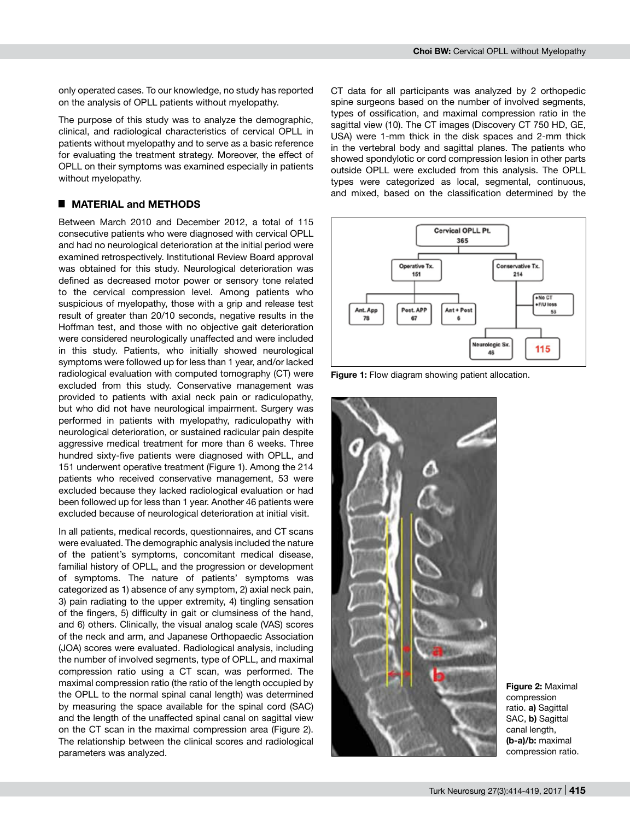only operated cases. To our knowledge, no study has reported on the analysis of OPLL patients without myelopathy.

The purpose of this study was to analyze the demographic, clinical, and radiological characteristics of cervical OPLL in patients without myelopathy and to serve as a basic reference for evaluating the treatment strategy. Moreover, the effect of OPLL on their symptoms was examined especially in patients without myelopathy.

# █ **MATERIAL and METHODS**

Between March 2010 and December 2012, a total of 115 consecutive patients who were diagnosed with cervical OPLL and had no neurological deterioration at the initial period were examined retrospectively. Institutional Review Board approval was obtained for this study. Neurological deterioration was defined as decreased motor power or sensory tone related to the cervical compression level. Among patients who suspicious of myelopathy, those with a grip and release test result of greater than 20/10 seconds, negative results in the Hoffman test, and those with no objective gait deterioration were considered neurologically unaffected and were included in this study. Patients, who initially showed neurological symptoms were followed up for less than 1 year, and/or lacked radiological evaluation with computed tomography (CT) were excluded from this study. Conservative management was provided to patients with axial neck pain or radiculopathy, but who did not have neurological impairment. Surgery was performed in patients with myelopathy, radiculopathy with neurological deterioration, or sustained radicular pain despite aggressive medical treatment for more than 6 weeks. Three hundred sixty-five patients were diagnosed with OPLL, and 151 underwent operative treatment (Figure 1). Among the 214 patients who received conservative management, 53 were excluded because they lacked radiological evaluation or had been followed up for less than 1 year. Another 46 patients were excluded because of neurological deterioration at initial visit.

In all patients, medical records, questionnaires, and CT scans were evaluated. The demographic analysis included the nature of the patient's symptoms, concomitant medical disease, familial history of OPLL, and the progression or development of symptoms. The nature of patients' symptoms was categorized as 1) absence of any symptom, 2) axial neck pain, 3) pain radiating to the upper extremity, 4) tingling sensation of the fingers, 5) difficulty in gait or clumsiness of the hand, and 6) others. Clinically, the visual analog scale (VAS) scores of the neck and arm, and Japanese Orthopaedic Association (JOA) scores were evaluated. Radiological analysis, including the number of involved segments, type of OPLL, and maximal compression ratio using a CT scan, was performed. The maximal compression ratio (the ratio of the length occupied by the OPLL to the normal spinal canal length) was determined by measuring the space available for the spinal cord (SAC) and the length of the unaffected spinal canal on sagittal view on the CT scan in the maximal compression area (Figure 2). The relationship between the clinical scores and radiological parameters was analyzed.

CT data for all participants was analyzed by 2 orthopedic spine surgeons based on the number of involved segments, types of ossification, and maximal compression ratio in the sagittal view (10). The CT images (Discovery CT 750 HD, GE, USA) were 1-mm thick in the disk spaces and 2-mm thick in the vertebral body and sagittal planes. The patients who showed spondylotic or cord compression lesion in other parts outside OPLL were excluded from this analysis. The OPLL types were categorized as local, segmental, continuous, and mixed, based on the classification determined by the



**Figure 1:** Flow diagram showing patient allocation.



**Figure 2:** Maximal compression ratio. **a)** Sagittal SAC, **b)** Sagittal canal length, **(b-a)/b:** maximal compression ratio.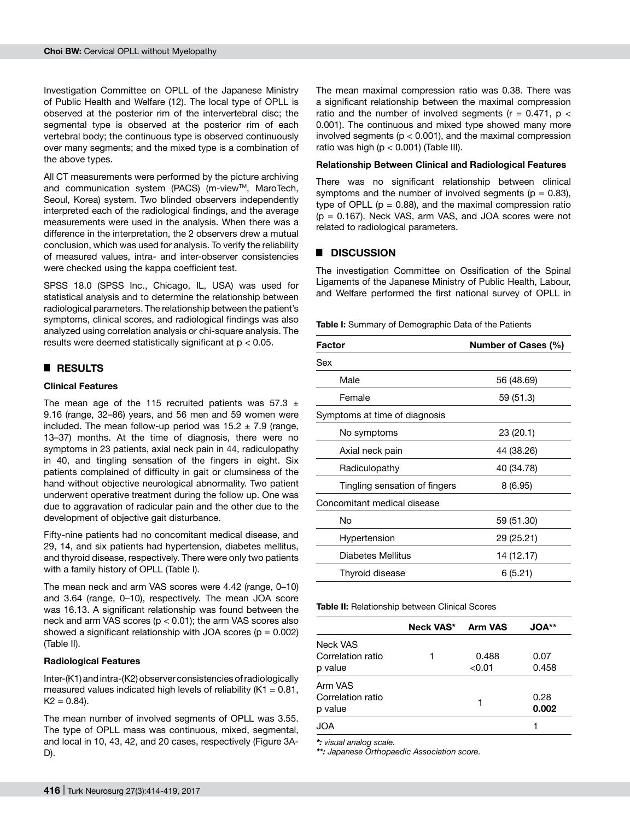Investigation Committee on OPLL of the Japanese Ministry of Public Health and Welfare (12). The local type of OPLL is observed at the posterior rim of the intervertebral disc; the segmental type is observed at the posterior rim of each vertebral body; the continuous type is observed continuously over many segments; and the mixed type is a combination of the above types.

All CT measurements were performed by the picture archiving and communication system (PACS) (m-view™, MaroTech, Seoul, Korea) system. Two blinded observers independently interpreted each of the radiological findings, and the average measurements were used in the analysis. When there was a difference in the interpretation, the 2 observers drew a mutual conclusion, which was used for analysis. To verify the reliability of measured values, intra- and inter-observer consistencies were checked using the kappa coefficient test.

SPSS 18.0 (SPSS Inc., Chicago, IL, USA) was used for statistical analysis and to determine the relationship between radiological parameters. The relationship between the patient's symptoms, clinical scores, and radiological findings was also analyzed using correlation analysis or chi-square analysis. The results were deemed statistically significant at  $p < 0.05$ .

## █ **RESULTS**

#### **Clinical Features**

The mean age of the 115 recruited patients was  $57.3 \pm 1$ 9.16 (range, 32–86) years, and 56 men and 59 women were included. The mean follow-up period was  $15.2 \pm 7.9$  (range, 13–37) months. At the time of diagnosis, there were no symptoms in 23 patients, axial neck pain in 44, radiculopathy in 40, and tingling sensation of the fingers in eight. Six patients complained of difficulty in gait or clumsiness of the hand without objective neurological abnormality. Two patient underwent operative treatment during the follow up. One was due to aggravation of radicular pain and the other due to the development of objective gait disturbance.

Fifty-nine patients had no concomitant medical disease, and 29, 14, and six patients had hypertension, diabetes mellitus, and thyroid disease, respectively. There were only two patients with a family history of OPLL (Table I).

The mean neck and arm VAS scores were 4.42 (range, 0–10) and 3.64 (range, 0–10), respectively. The mean JOA score was 16.13. A significant relationship was found between the neck and arm VAS scores (p < 0.01); the arm VAS scores also showed a significant relationship with JOA scores ( $p = 0.002$ ) (Table II).

#### **Radiological Features**

Inter-(K1) and intra-(K2) observer consistencies of radiologically measured values indicated high levels of reliability ( $K1 = 0.81$ ,  $K2 = 0.84$ ).

The mean number of involved segments of OPLL was 3.55. The type of OPLL mass was continuous, mixed, segmental, and local in 10, 43, 42, and 20 cases, respectively (Figure 3A-D).

The mean maximal compression ratio was 0.38. There was a significant relationship between the maximal compression ratio and the number of involved segments ( $r = 0.471$ ,  $p <$ 0.001). The continuous and mixed type showed many more involved segments ( $p < 0.001$ ), and the maximal compression ratio was high ( $p < 0.001$ ) (Table III).

#### **Relationship Between Clinical and Radiological Features**

There was no significant relationship between clinical symptoms and the number of involved segments ( $p = 0.83$ ), type of OPLL ( $p = 0.88$ ), and the maximal compression ratio  $(p = 0.167)$ . Neck VAS, arm VAS, and JOA scores were not related to radiological parameters.

## █ **DISCUSSION**

The investigation Committee on Ossification of the Spinal Ligaments of the Japanese Ministry of Public Health, Labour, and Welfare performed the first national survey of OPLL in

| <b>Table I:</b> Summary of Demographic Data of the Patients |  |  |
|-------------------------------------------------------------|--|--|
|-------------------------------------------------------------|--|--|

| Factor                        | <b>Number of Cases (%)</b> |  |
|-------------------------------|----------------------------|--|
| Sex                           |                            |  |
| Male                          | 56 (48.69)                 |  |
| Female                        | 59 (51.3)                  |  |
| Symptoms at time of diagnosis |                            |  |
| No symptoms                   | 23(20.1)                   |  |
| Axial neck pain               | 44 (38.26)                 |  |
| Radiculopathy                 | 40 (34.78)                 |  |
| Tingling sensation of fingers | 8(6.95)                    |  |
| Concomitant medical disease   |                            |  |
| No                            | 59 (51.30)                 |  |
| Hypertension                  | 29 (25.21)                 |  |
| Diabetes Mellitus             | 14 (12.17)                 |  |
| Thyroid disease               | 6(5.21)                    |  |

**Table II:** Relationship between Clinical Scores

|                   | <b>Neck VAS*</b> | <b>Arm VAS</b> | <b>JOA</b> ** |
|-------------------|------------------|----------------|---------------|
| Neck VAS          |                  |                |               |
| Correlation ratio |                  | 0.488          | 0.07          |
| p value           |                  | < 0.01         | 0.458         |
| Arm VAS           |                  |                |               |
| Correlation ratio |                  |                | 0.28          |
| p value           |                  | 1              | 0.002         |
| JOA               |                  |                |               |

*\*: visual analog scale.*

*\*\*: Japanese Orthopaedic Association score.*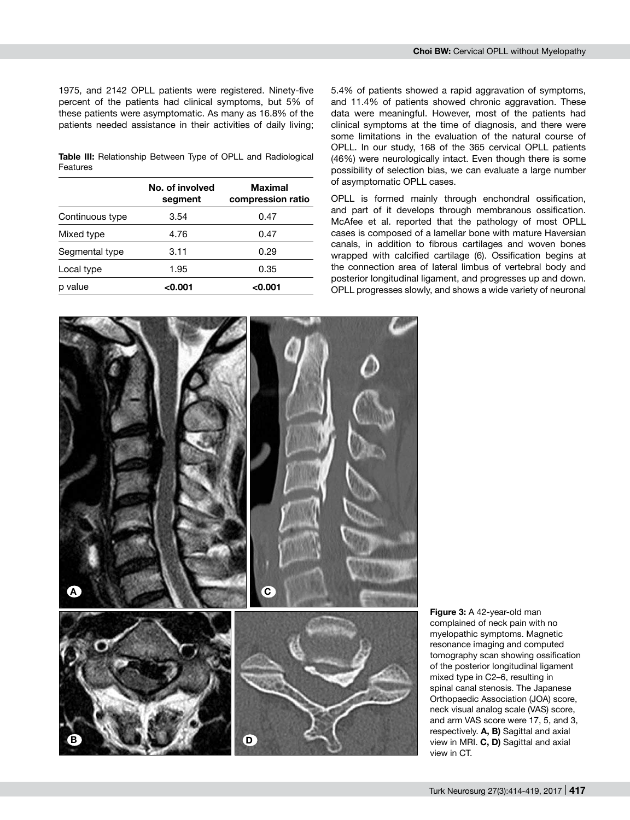1975, and 2142 OPLL patients were registered. Ninety-five percent of the patients had clinical symptoms, but 5% of these patients were asymptomatic. As many as 16.8% of the patients needed assistance in their activities of daily living;

**Table III:** Relationship Between Type of OPLL and Radiological Features

|                 | No. of involved<br>segment | <b>Maximal</b><br>compression ratio |
|-----------------|----------------------------|-------------------------------------|
| Continuous type | 3.54                       | 0.47                                |
| Mixed type      | 4.76                       | 0.47                                |
| Segmental type  | 3.11                       | 0.29                                |
| Local type      | 1.95                       | 0.35                                |
| p value         | < 0.001                    | <0.001                              |

5.4% of patients showed a rapid aggravation of symptoms, and 11.4% of patients showed chronic aggravation. These data were meaningful. However, most of the patients had clinical symptoms at the time of diagnosis, and there were some limitations in the evaluation of the natural course of OPLL. In our study, 168 of the 365 cervical OPLL patients (46%) were neurologically intact. Even though there is some possibility of selection bias, we can evaluate a large number of asymptomatic OPLL cases.

OPLL is formed mainly through enchondral ossification, and part of it develops through membranous ossification. McAfee et al. reported that the pathology of most OPLL cases is composed of a lamellar bone with mature Haversian canals, in addition to fibrous cartilages and woven bones wrapped with calcified cartilage (6). Ossification begins at the connection area of lateral limbus of vertebral body and posterior longitudinal ligament, and progresses up and down. OPLL progresses slowly, and shows a wide variety of neuronal



**Figure 3:** A 42-year-old man complained of neck pain with no myelopathic symptoms. Magnetic resonance imaging and computed tomography scan showing ossification of the posterior longitudinal ligament mixed type in C2–6, resulting in spinal canal stenosis. The Japanese Orthopaedic Association (JOA) score, neck visual analog scale (VAS) score, and arm VAS score were 17, 5, and 3, respectively. **A, B)** Sagittal and axial view in MRI. **C, D)** Sagittal and axial view in CT.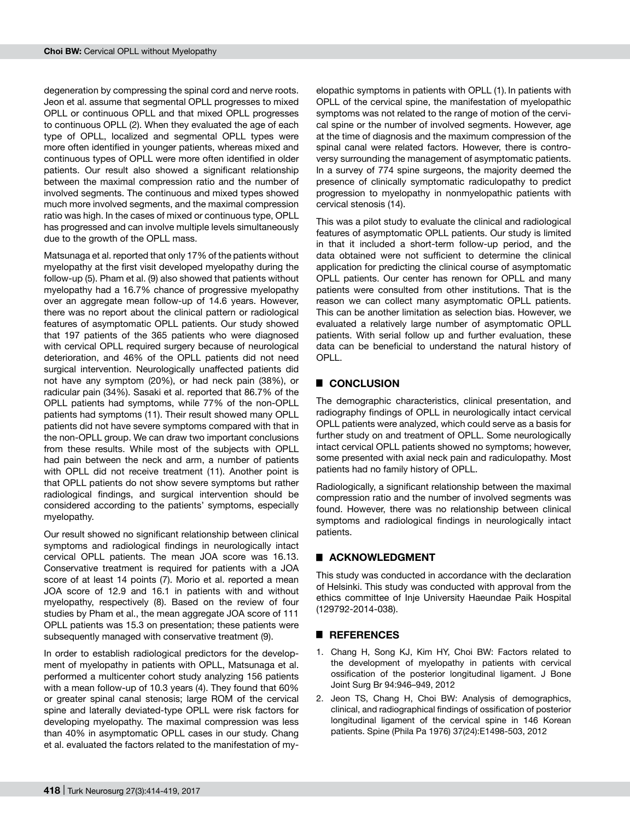degeneration by compressing the spinal cord and nerve roots. Jeon et al. assume that segmental OPLL progresses to mixed OPLL or continuous OPLL and that mixed OPLL progresses to continuous OPLL (2). When they evaluated the age of each type of OPLL, localized and segmental OPLL types were more often identified in younger patients, whereas mixed and continuous types of OPLL were more often identified in older patients. Our result also showed a significant relationship between the maximal compression ratio and the number of involved segments. The continuous and mixed types showed much more involved segments, and the maximal compression ratio was high. In the cases of mixed or continuous type, OPLL has progressed and can involve multiple levels simultaneously due to the growth of the OPLL mass.

Matsunaga et al. reported that only 17% of the patients without myelopathy at the first visit developed myelopathy during the follow-up (5). Pham et al. (9) also showed that patients without myelopathy had a 16.7% chance of progressive myelopathy over an aggregate mean follow-up of 14.6 years. However, there was no report about the clinical pattern or radiological features of asymptomatic OPLL patients. Our study showed that 197 patients of the 365 patients who were diagnosed with cervical OPLL required surgery because of neurological deterioration, and 46% of the OPLL patients did not need surgical intervention. Neurologically unaffected patients did not have any symptom (20%), or had neck pain (38%), or radicular pain (34%). Sasaki et al. reported that 86.7% of the OPLL patients had symptoms, while 77% of the non-OPLL patients had symptoms (11). Their result showed many OPLL patients did not have severe symptoms compared with that in the non-OPLL group. We can draw two important conclusions from these results. While most of the subjects with OPLL had pain between the neck and arm, a number of patients with OPLL did not receive treatment (11). Another point is that OPLL patients do not show severe symptoms but rather radiological findings, and surgical intervention should be considered according to the patients' symptoms, especially myelopathy.

Our result showed no significant relationship between clinical symptoms and radiological findings in neurologically intact cervical OPLL patients. The mean JOA score was 16.13. Conservative treatment is required for patients with a JOA score of at least 14 points (7). Morio et al. reported a mean JOA score of 12.9 and 16.1 in patients with and without myelopathy, respectively (8). Based on the review of four studies by Pham et al., the mean aggregate JOA score of 111 OPLL patients was 15.3 on presentation; these patients were subsequently managed with conservative treatment (9).

In order to establish radiological predictors for the development of myelopathy in patients with OPLL, Matsunaga et al. performed a multicenter cohort study analyzing 156 patients with a mean follow-up of 10.3 years (4). They found that 60% or greater spinal canal stenosis; large ROM of the cervical spine and laterally deviated-type OPLL were risk factors for developing myelopathy. The maximal compression was less than 40% in asymptomatic OPLL cases in our study. Chang et al. evaluated the factors related to the manifestation of my-

elopathic symptoms in patients with OPLL (1). In patients with OPLL of the cervical spine, the manifestation of myelopathic symptoms was not related to the range of motion of the cervical spine or the number of involved segments. However, age at the time of diagnosis and the maximum compression of the spinal canal were related factors. However, there is controversy surrounding the management of asymptomatic patients. In a survey of 774 spine surgeons, the majority deemed the presence of clinically symptomatic radiculopathy to predict progression to myelopathy in nonmyelopathic patients with cervical stenosis (14).

This was a pilot study to evaluate the clinical and radiological features of asymptomatic OPLL patients. Our study is limited in that it included a short-term follow-up period, and the data obtained were not sufficient to determine the clinical application for predicting the clinical course of asymptomatic OPLL patients. Our center has renown for OPLL and many patients were consulted from other institutions. That is the reason we can collect many asymptomatic OPLL patients. This can be another limitation as selection bias. However, we evaluated a relatively large number of asymptomatic OPLL patients. With serial follow up and further evaluation, these data can be beneficial to understand the natural history of OPLL.

# █ **CONCLUSION**

The demographic characteristics, clinical presentation, and radiography findings of OPLL in neurologically intact cervical OPLL patients were analyzed, which could serve as a basis for further study on and treatment of OPLL. Some neurologically intact cervical OPLL patients showed no symptoms; however, some presented with axial neck pain and radiculopathy. Most patients had no family history of OPLL.

Radiologically, a significant relationship between the maximal compression ratio and the number of involved segments was found. However, there was no relationship between clinical symptoms and radiological findings in neurologically intact patients.

## █ **ACKNOWLEDGMENT**

This study was conducted in accordance with the declaration of Helsinki. This study was conducted with approval from the ethics committee of Inje University Haeundae Paik Hospital (129792-2014-038).

## █ **REFERENCES**

- 1. Chang H, Song KJ, Kim HY, Choi BW: Factors related to the development of myelopathy in patients with cervical ossification of the posterior longitudinal ligament. J Bone Joint Surg Br 94:946–949, 2012
- 2. Jeon TS, Chang H, Choi BW: Analysis of demographics, clinical, and radiographical findings of ossification of posterior longitudinal ligament of the cervical spine in 146 Korean patients. Spine (Phila Pa 1976) 37(24):E1498-503, 2012